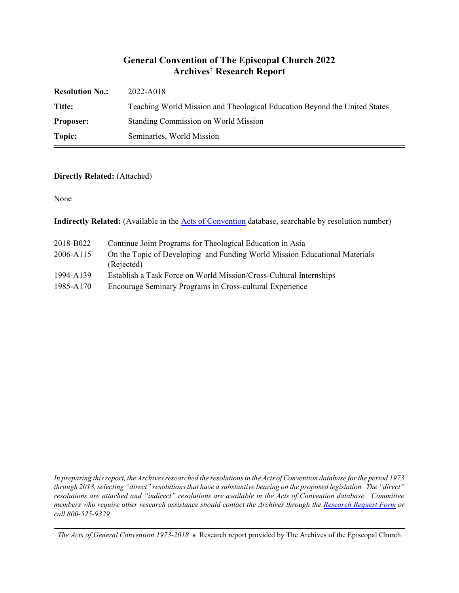#### **General Convention of The Episcopal Church 2022 Archives' Research Report**

| <b>Resolution No.:</b> | 2022-A018                                                                 |
|------------------------|---------------------------------------------------------------------------|
| Title:                 | Teaching World Mission and Theological Education Beyond the United States |
| <b>Proposer:</b>       | Standing Commission on World Mission                                      |
| Topic:                 | Seminaries, World Mission                                                 |

#### **Directly Related:** (Attached)

None

**Indirectly Related:** (Available in the **Acts of Convention** database, searchable by resolution number)

| 2018-B022 | Continue Joint Programs for Theological Education in Asia                                |
|-----------|------------------------------------------------------------------------------------------|
| 2006-A115 | On the Topic of Developing and Funding World Mission Educational Materials<br>(Rejected) |
| 1994-A139 | Establish a Task Force on World Mission/Cross-Cultural Internships                       |
| 1985-A170 | Encourage Seminary Programs in Cross-cultural Experience                                 |

*In preparing this report, the Archives researched the resolutions in the Acts of Convention database for the period 1973 through 2018, selecting "direct" resolutions that have a substantive bearing on the proposed legislation. The "direct" resolutions are attached and "indirect" resolutions are available in the Acts of Convention database. Committee members who require other research assistance should contact the Archives through the Research [Request Form](https://www.episcopalarchives.org/contact/research-request-form) or call 800-525-9329.*

*The Acts of General Convention 1973-2018*  $*$  Research report provided by The Archives of the Episcopal Church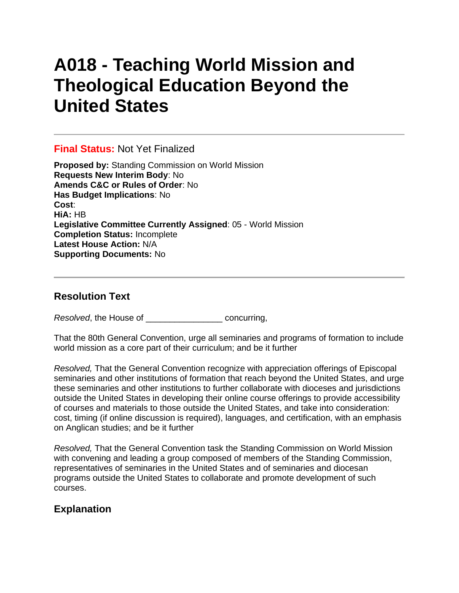# **A018 - Teaching World Mission and Theological Education Beyond the United States**

### **Final Status:** Not Yet Finalized

**Proposed by:** Standing Commission on World Mission **Requests New Interim Body**: No **Amends C&C or Rules of Order**: No **Has Budget Implications**: No **Cost**: **HiA:** HB **Legislative Committee Currently Assigned**: 05 - World Mission **Completion Status:** Incomplete **Latest House Action:** N/A **Supporting Documents:** No

## **Resolution Text**

*Resolved*, the House of \_\_\_\_\_\_\_\_\_\_\_\_\_\_\_\_ concurring,

That the 80th General Convention, urge all seminaries and programs of formation to include world mission as a core part of their curriculum; and be it further

*Resolved,* That the General Convention recognize with appreciation offerings of Episcopal seminaries and other institutions of formation that reach beyond the United States, and urge these seminaries and other institutions to further collaborate with dioceses and jurisdictions outside the United States in developing their online course offerings to provide accessibility of courses and materials to those outside the United States, and take into consideration: cost, timing (if online discussion is required), languages, and certification, with an emphasis on Anglican studies; and be it further

*Resolved,* That the General Convention task the Standing Commission on World Mission with convening and leading a group composed of members of the Standing Commission, representatives of seminaries in the United States and of seminaries and diocesan programs outside the United States to collaborate and promote development of such courses.

# **Explanation**